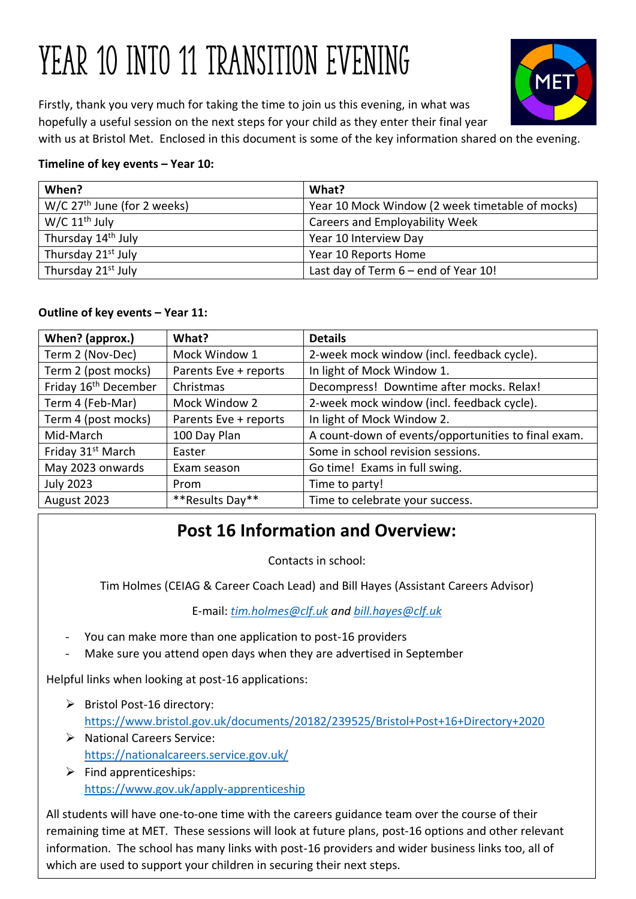# YEAR 10 INTO 11 TRANSITION EVENING



Firstly, thank you very much for taking the time to join us this evening, in what was hopefully a useful session on the next steps for your child as they enter their final year with us at Bristol Met. Enclosed in this document is some of the key information shared on the evening.

# **Timeline of key events – Year 10:**

| When?                                     | What?                                           |
|-------------------------------------------|-------------------------------------------------|
| $W/C$ 27 <sup>th</sup> June (for 2 weeks) | Year 10 Mock Window (2 week timetable of mocks) |
| $W/C 11th$ July                           | Careers and Employability Week                  |
| Thursday 14 <sup>th</sup> July            | Year 10 Interview Day                           |
| Thursday 21 <sup>st</sup> July            | Year 10 Reports Home                            |
| Thursday 21 <sup>st</sup> July            | Last day of Term 6 - end of Year 10!            |

## **Outline of key events – Year 11:**

| When? (approx.)                  | What?                 | <b>Details</b>                                      |
|----------------------------------|-----------------------|-----------------------------------------------------|
| Term 2 (Nov-Dec)                 | Mock Window 1         | 2-week mock window (incl. feedback cycle).          |
| Term 2 (post mocks)              | Parents Eve + reports | In light of Mock Window 1.                          |
| Friday 16 <sup>th</sup> December | Christmas             | Decompress! Downtime after mocks. Relax!            |
| Term 4 (Feb-Mar)                 | Mock Window 2         | 2-week mock window (incl. feedback cycle).          |
| Term 4 (post mocks)              | Parents Eve + reports | In light of Mock Window 2.                          |
| Mid-March                        | 100 Day Plan          | A count-down of events/opportunities to final exam. |
| Friday 31 <sup>st</sup> March    | Easter                | Some in school revision sessions.                   |
| May 2023 onwards                 | Exam season           | Go time! Exams in full swing.                       |
| <b>July 2023</b>                 | Prom                  | Time to party!                                      |
| August 2023                      | **Results Day**       | Time to celebrate your success.                     |

# **Post 16 Information and Overview:**

Contacts in school:

Tim Holmes (CEIAG & Career Coach Lead) and Bill Hayes (Assistant Careers Advisor)

E-mail: *[tim.holmes@clf.uk](mailto:tim.holmes@clf.uk) and [bill.hayes@clf.uk](mailto:bill.hayes@clf.uk)*

- You can make more than one application to post-16 providers
- Make sure you attend open days when they are advertised in September

Helpful links when looking at post-16 applications:

- ➢ Bristol Post-16 directory: <https://www.bristol.gov.uk/documents/20182/239525/Bristol+Post+16+Directory+2020>
- ➢ National Careers Service: <https://nationalcareers.service.gov.uk/>
- $\triangleright$  Find apprenticeships: <https://www.gov.uk/apply-apprenticeship>

information. The school has many links with post-16 providers and wider business links too, all of All students will have one-to-one time with the careers guidance team over the course of their remaining time at MET. These sessions will look at future plans, post-16 options and other relevant which are used to support your children in securing their next steps.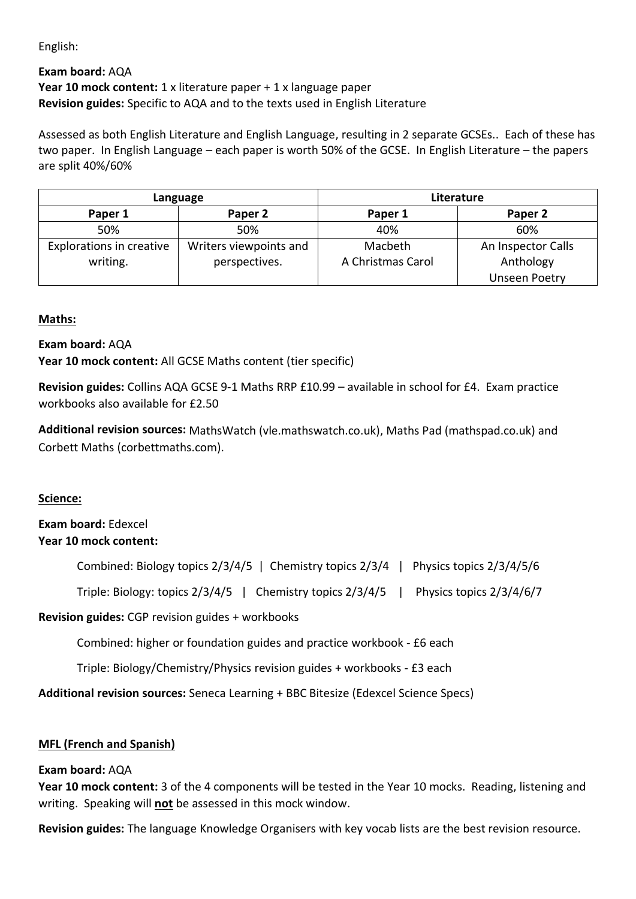English:

#### **Exam board:** AQA **Year 10 mock content:** 1 x literature paper + 1 x language paper **Revision guides:** Specific to AQA and to the texts used in English Literature

Assessed as both English Literature and English Language, resulting in 2 separate GCSEs.. Each of these has two paper. In English Language – each paper is worth 50% of the GCSE. In English Literature – the papers are split 40%/60%

| Language                        |                        | Literature        |                      |
|---------------------------------|------------------------|-------------------|----------------------|
| Paper 1                         | Paper 2                | Paper 1           | Paper 2              |
| 50%                             | 50%                    | 40%               | 60%                  |
| <b>Explorations in creative</b> | Writers viewpoints and | Macbeth           | An Inspector Calls   |
| writing.                        | perspectives.          | A Christmas Carol | Anthology            |
|                                 |                        |                   | <b>Unseen Poetry</b> |

#### **Maths:**

#### **Exam board:** AQA

**Year 10 mock content:** All GCSE Maths content (tier specific)

**Revision guides:** Collins AQA GCSE 9-1 Maths RRP £10.99 – available in school for £4. Exam practice workbooks also available for £2.50

**Additional revision sources:** MathsWatch (vle.mathswatch.co.uk), Maths Pad (mathspad.co.uk) and Corbett Maths (corbettmaths.com).

#### **Science:**

## **Exam board:** Edexcel **Year 10 mock content:**

Triple: Biology: topics 2/3/4/5 | Chemistry topics 2/3/4/5 | Physics topics 2/3/4/6/7

**Revision guides:** CGP revision guides + workbooks

Combined: higher or foundation guides and practice workbook - £6 each

Triple: Biology/Chemistry/Physics revision guides + workbooks - £3 each

**Additional revision sources:** Seneca Learning + BBC Bitesize (Edexcel Science Specs)

#### **MFL (French and Spanish)**

#### **Exam board:** AQA

**Year 10 mock content:** 3 of the 4 components will be tested in the Year 10 mocks. Reading, listening and writing. Speaking will **not** be assessed in this mock window.

**Revision guides:** The language Knowledge Organisers with key vocab lists are the best revision resource.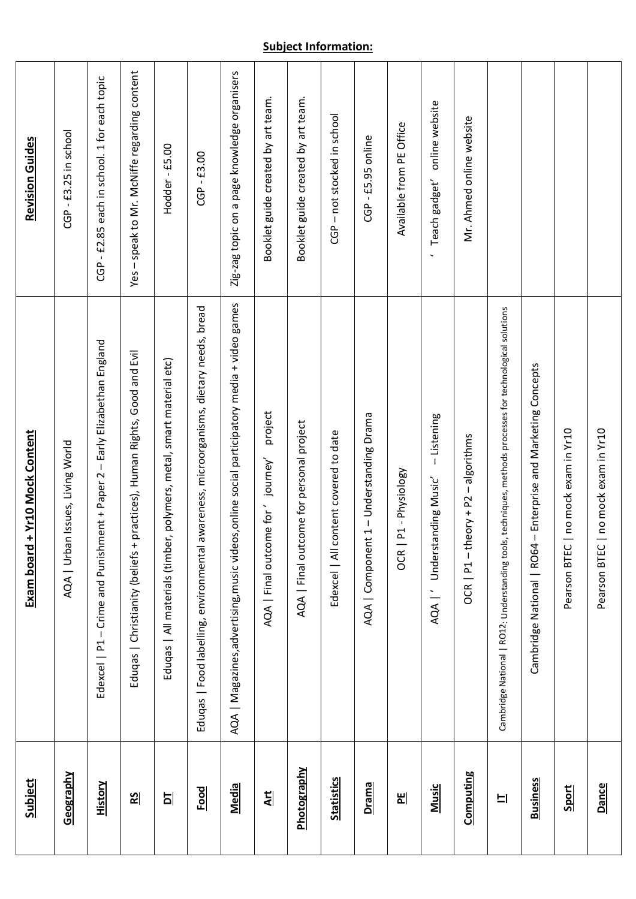| <b>Subject</b>    | + Yr10 Mock Content<br>Exam board                                                                         | <b>Revision Guides</b>                       |
|-------------------|-----------------------------------------------------------------------------------------------------------|----------------------------------------------|
| <u>Geography</u>  | AQA   Urban Issues, Living World                                                                          | -£3.25 in school<br>ලි                       |
| <b>History</b>    | Edexcel   P1 - Crime and Punishment + Paper 2 - Early Elizabethan England                                 | CGP - £2.85 each in school. 1 for each topic |
| $\frac{2}{5}$     | practices), Human Rights, Good and Evil<br>Eduqas   Christianity (beliefs +                               | Yes - speak to Mr. McNiffe regarding content |
| 비                 | Eduqas   All materials (timber, polymers, metal, smart material etc)                                      | Hodder-£5.00                                 |
| <b>Food</b>       | awareness, microorganisms, dietary needs, bread<br>Eduqas   Food labelling, environmental                 | $CGP - £3.00$                                |
| Media             | AQA   Magazines, advertising, music videos, online social participatory media + video games               | Zig-zag topic on a page knowledge organisers |
| <u>Art</u>        | project<br>journey'<br>AQA   Final outcome for'                                                           | Booklet guide created by art team.           |
| Photography       | AQA   Final outcome for personal project                                                                  | Booklet guide created by art team.           |
| <b>Statistics</b> | Edexcel   All content covered to date                                                                     | CGP - not stocked in school                  |
| Drama             | AQA   Component 1 - Understanding Drama                                                                   | $CGP - E5.95$ online                         |
| 비                 | P1 - Physiology<br>OCR                                                                                    | Available from PE Office                     |
| <b>Music</b>      | - Listening<br>AQA   Understanding Music                                                                  | online website<br>Teach gadget'              |
| <b>Computing</b>  | $eory + P2 - algebra$<br>$OCR   P1 - th$                                                                  | Mr. Ahmed online website                     |
| 비                 | Cambridge National   RO12: Understanding tools, techniques, methods processes for technological solutions |                                              |
| <b>Business</b>   | - Enterprise and Marketing Concepts<br>Cambridge National   RO64                                          |                                              |
| Sport             | no mock exam in Yr10<br>Pearson BTEC                                                                      |                                              |
| Dance             | no mock exam in Yr10<br>Pearson BTEC                                                                      |                                              |

# **Subject Information:** T

Τ

T

T

Τ